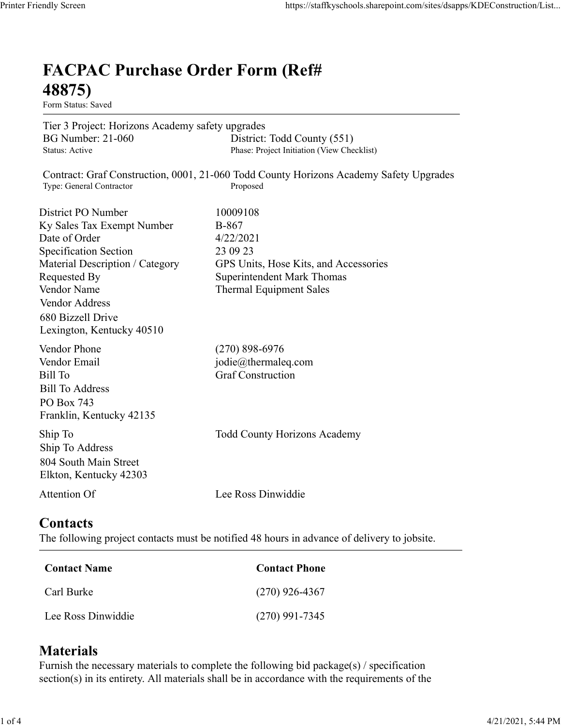## FACPAC Purchase Order Form (Ref# 48875) Mally Screen<br>
EACPAC Purchase Order Form (Ref#<br>
48875)<br>
Form Status: Saved<br>
Tier 3 Project: Horizons Academy safety upgrades<br>
BG Number: 21-060<br>
District: Todd County (551)<br>
Phase: Project Initiation (View Checklist)<br>
Cont mdly Screen<br> **FACPAC Purchase Order Form (Ref#**<br>
Fom Status: Saved<br>
Fom Status: Saved<br>
Form Status: Saved<br>
BG Nuncher: 21-060<br>
Bissic: Project Initiation (View Checklist)<br>
Status: Active<br>
Contract: Graf Construction, 0001,

| endly Screen                                                                                                                                                                                                                            | https://staffkyschools.sharepoint.com/sites/dsapps/KDEConstruction/List.                                                                                   |
|-----------------------------------------------------------------------------------------------------------------------------------------------------------------------------------------------------------------------------------------|------------------------------------------------------------------------------------------------------------------------------------------------------------|
| <b>FACPAC Purchase Order Form (Ref#</b><br>48875)<br>Form Status: Saved                                                                                                                                                                 |                                                                                                                                                            |
| Tier 3 Project: Horizons Academy safety upgrades<br><b>BG Number: 21-060</b><br>Status: Active                                                                                                                                          | District: Todd County (551)<br>Phase: Project Initiation (View Checklist)                                                                                  |
| Type: General Contractor                                                                                                                                                                                                                | Contract: Graf Construction, 0001, 21-060 Todd County Horizons Academy Safety Upgrades<br>Proposed                                                         |
| District PO Number<br>Ky Sales Tax Exempt Number<br>Date of Order<br><b>Specification Section</b><br>Material Description / Category<br>Requested By<br>Vendor Name<br>Vendor Address<br>680 Bizzell Drive<br>Lexington, Kentucky 40510 | 10009108<br><b>B-867</b><br>4/22/2021<br>23 09 23<br>GPS Units, Hose Kits, and Accessories<br>Superintendent Mark Thomas<br><b>Thermal Equipment Sales</b> |
| Vendor Phone<br>Vendor Email<br><b>Bill To</b><br><b>Bill To Address</b><br>PO Box 743<br>Franklin, Kentucky 42135                                                                                                                      | $(270)$ 898-6976<br>jodie@thermaleq.com<br><b>Graf Construction</b>                                                                                        |
| Ship To<br>Ship To Address<br>804 South Main Street<br>Elkton, Kentucky 42303                                                                                                                                                           | <b>Todd County Horizons Academy</b>                                                                                                                        |
| Attention Of                                                                                                                                                                                                                            | Lee Ross Dinwiddie                                                                                                                                         |
| <b>Contacts</b>                                                                                                                                                                                                                         | The following project contacts must be notified 48 hours in advance of delivery to jobsite.                                                                |
| <b>Contact Name</b>                                                                                                                                                                                                                     | <b>Contact Phone</b>                                                                                                                                       |
| Carl Burke                                                                                                                                                                                                                              | $(270)$ 926-4367                                                                                                                                           |
| Lee Ross Dinwiddie                                                                                                                                                                                                                      | $(270)$ 991-7345                                                                                                                                           |

## **Contacts**

| Contact Name       | <b>Contact Phone</b> |
|--------------------|----------------------|
| Carl Burke         | $(270)$ 926-4367     |
| Lee Ross Dinwiddie | $(270)$ 991-7345     |

## **Materials**

Furnish the necessary materials to complete the following bid package(s) / specification section(s) in its entirety. All materials shall be in accordance with the requirements of the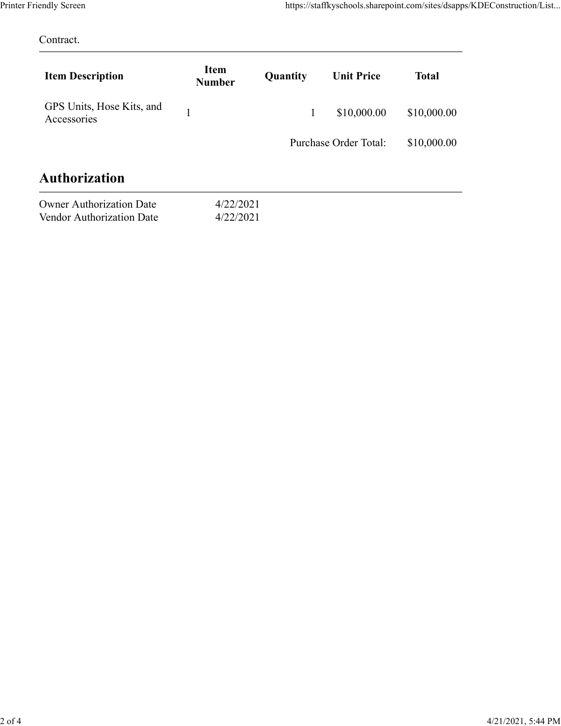| Printer Friendly Screen<br>Contract.                                          |                        |              |                       | https://staffkyschools.sharepoint.com/sites/dsapps/KDEConstruction/List |  |
|-------------------------------------------------------------------------------|------------------------|--------------|-----------------------|-------------------------------------------------------------------------|--|
| <b>Item Description</b>                                                       | Item<br><b>Number</b>  | Quantity     | <b>Unit Price</b>     | <b>Total</b>                                                            |  |
| GPS Units, Hose Kits, and<br>Accessories                                      | $\mathbf{1}$           | $\mathbf{1}$ | \$10,000.00           | \$10,000.00                                                             |  |
|                                                                               |                        |              | Purchase Order Total: | \$10,000.00                                                             |  |
|                                                                               |                        |              |                       |                                                                         |  |
|                                                                               |                        |              |                       |                                                                         |  |
| Authorization<br><b>Owner Authorization Date</b><br>Vendor Authorization Date | 4/22/2021<br>4/22/2021 |              |                       |                                                                         |  |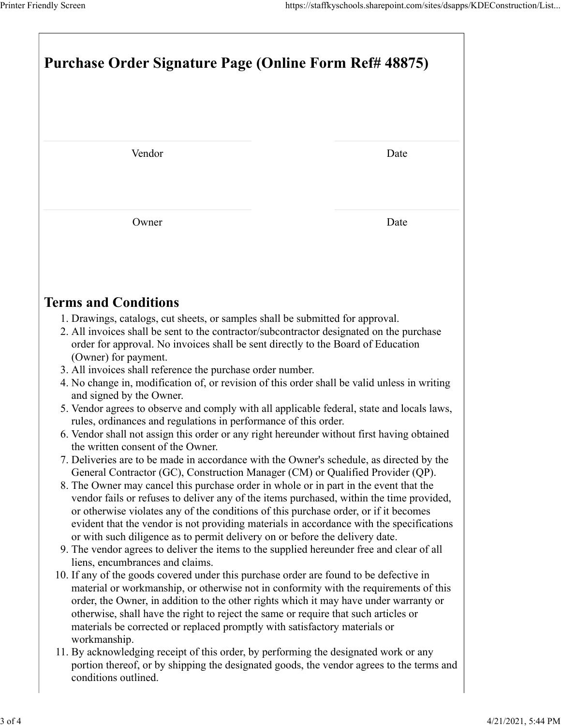| Printer Friendly Screen                                                                                                                                                                                                                                                                                                                                                                                                                                 | https://staffkyschools.sharepoint.com/sites/dsapps/KDEConstruction/List |  |  |  |  |
|---------------------------------------------------------------------------------------------------------------------------------------------------------------------------------------------------------------------------------------------------------------------------------------------------------------------------------------------------------------------------------------------------------------------------------------------------------|-------------------------------------------------------------------------|--|--|--|--|
|                                                                                                                                                                                                                                                                                                                                                                                                                                                         |                                                                         |  |  |  |  |
| Purchase Order Signature Page (Online Form Ref# 48875)                                                                                                                                                                                                                                                                                                                                                                                                  |                                                                         |  |  |  |  |
| Vendor                                                                                                                                                                                                                                                                                                                                                                                                                                                  | Date                                                                    |  |  |  |  |
|                                                                                                                                                                                                                                                                                                                                                                                                                                                         |                                                                         |  |  |  |  |
| Owner                                                                                                                                                                                                                                                                                                                                                                                                                                                   | Date                                                                    |  |  |  |  |
| <b>Terms and Conditions</b>                                                                                                                                                                                                                                                                                                                                                                                                                             |                                                                         |  |  |  |  |
| 1. Drawings, catalogs, cut sheets, or samples shall be submitted for approval.<br>2. All invoices shall be sent to the contractor/subcontractor designated on the purchase<br>order for approval. No invoices shall be sent directly to the Board of Education<br>(Owner) for payment.                                                                                                                                                                  |                                                                         |  |  |  |  |
| 3. All invoices shall reference the purchase order number.<br>4. No change in, modification of, or revision of this order shall be valid unless in writing<br>and signed by the Owner.<br>5. Vendor agrees to observe and comply with all applicable federal, state and locals laws,                                                                                                                                                                    |                                                                         |  |  |  |  |
| rules, ordinances and regulations in performance of this order.<br>6. Vendor shall not assign this order or any right hereunder without first having obtained<br>the written consent of the Owner.<br>7. Deliveries are to be made in accordance with the Owner's schedule, as directed by the                                                                                                                                                          |                                                                         |  |  |  |  |
| General Contractor (GC), Construction Manager (CM) or Qualified Provider (QP).<br>8. The Owner may cancel this purchase order in whole or in part in the event that the<br>vendor fails or refuses to deliver any of the items purchased, within the time provided,<br>or otherwise violates any of the conditions of this purchase order, or if it becomes<br>evident that the vendor is not providing materials in accordance with the specifications |                                                                         |  |  |  |  |
| or with such diligence as to permit delivery on or before the delivery date.<br>9. The vendor agrees to deliver the items to the supplied hereunder free and clear of all<br>liens, encumbrances and claims.<br>10. If any of the goods covered under this purchase order are found to be defective in                                                                                                                                                  |                                                                         |  |  |  |  |
| material or workmanship, or otherwise not in conformity with the requirements of this<br>order, the Owner, in addition to the other rights which it may have under warranty or<br>otherwise, shall have the right to reject the same or require that such articles or<br>materials be corrected or replaced promptly with satisfactory materials or                                                                                                     |                                                                         |  |  |  |  |
| workmanship.                                                                                                                                                                                                                                                                                                                                                                                                                                            |                                                                         |  |  |  |  |